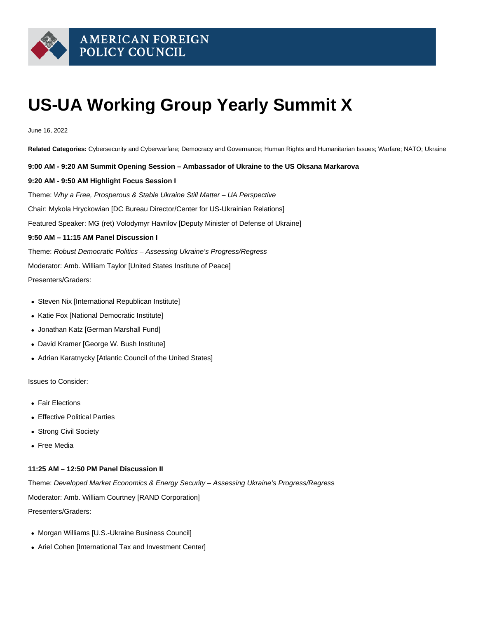

# **US-UA Working Group Yearly Summit X**

June 16, 2022

**Related Categories:** Cybersecurity and Cyberwarfare; Democracy and Governance; Human Rights and Humanitarian Issues; Warfare; NATO; Ukraine

**9:00 AM - 9:20 AM Summit Opening Session – Ambassador of Ukraine to the US Oksana Markarova**

#### **9:20 AM - 9:50 AM Highlight Focus Session I**

Theme: Why a Free, Prosperous & Stable Ukraine Still Matter – UA Perspective Chair: Mykola Hryckowian [DC Bureau Director/Center for US-Ukrainian Relations] Featured Speaker: MG (ret) Volodymyr Havrilov [Deputy Minister of Defense of Ukraine] **9:50 AM – 11:15 AM Panel Discussion I** Theme: Robust Democratic Politics – Assessing Ukraine's Progress/Regress

Moderator: Amb. William Taylor [United States Institute of Peace]

Presenters/Graders:

- Steven Nix [International Republican Institute]
- Katie Fox [National Democratic Institute]
- Jonathan Katz [German Marshall Fund]
- David Kramer [George W. Bush Institute]
- Adrian Karatnycky [Atlantic Council of the United States]

Issues to Consider:

- Fair Elections
- Effective Political Parties
- Strong Civil Society
- Free Media

## **11:25 AM – 12:50 PM Panel Discussion II**

Theme: Developed Market Economics & Energy Security – Assessing Ukraine's Progress/Regress Moderator: Amb. William Courtney [RAND Corporation] Presenters/Graders:

- Morgan Williams [U.S.-Ukraine Business Council]
- Ariel Cohen [International Tax and Investment Center]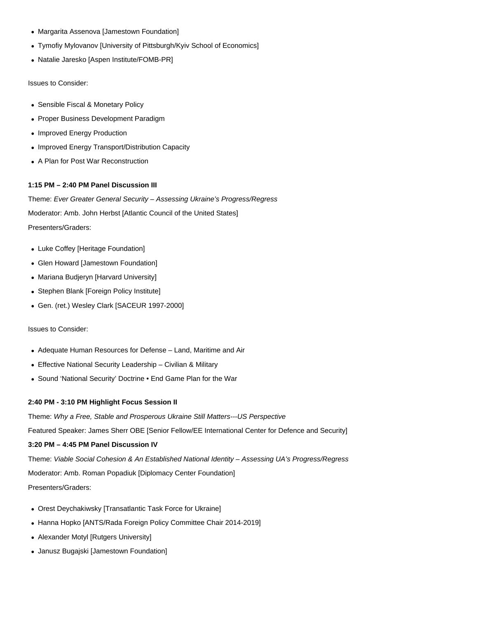- Margarita Assenova [Jamestown Foundation]
- Tymofiy Mylovanov [University of Pittsburgh/Kyiv School of Economics]
- Natalie Jaresko [Aspen Institute/FOMB-PR]

Issues to Consider:

- Sensible Fiscal & Monetary Policy
- Proper Business Development Paradigm
- Improved Energy Production
- Improved Energy Transport/Distribution Capacity
- A Plan for Post War Reconstruction

## **1:15 PM – 2:40 PM Panel Discussion III**

Theme: Ever Greater General Security – Assessing Ukraine's Progress/Regress Moderator: Amb. John Herbst [Atlantic Council of the United States] Presenters/Graders:

- Luke Coffey [Heritage Foundation]
- Glen Howard [Jamestown Foundation]
- Mariana Budjeryn [Harvard University]
- Stephen Blank [Foreign Policy Institute]
- Gen. (ret.) Wesley Clark [SACEUR 1997-2000]

Issues to Consider:

- Adequate Human Resources for Defense Land, Maritime and Air
- Effective National Security Leadership Civilian & Military
- Sound 'National Security' Doctrine End Game Plan for the War

#### **2:40 PM - 3:10 PM Highlight Focus Session II**

Theme: Why a Free, Stable and Prosperous Ukraine Still Matters---US Perspective

Featured Speaker: James Sherr OBE [Senior Fellow/EE International Center for Defence and Security]

#### **3:20 PM – 4:45 PM Panel Discussion IV**

Theme: Viable Social Cohesion & An Established National Identity – Assessing UA's Progress/Regress Moderator: Amb. Roman Popadiuk [Diplomacy Center Foundation] Presenters/Graders:

- Orest Deychakiwsky [Transatlantic Task Force for Ukraine]
- Hanna Hopko [ANTS/Rada Foreign Policy Committee Chair 2014-2019]
- Alexander Motyl [Rutgers University]
- Janusz Bugajski [Jamestown Foundation]